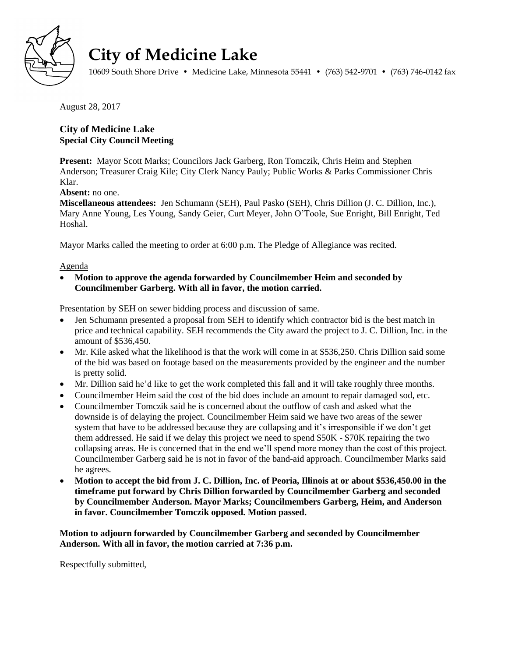

## **City of Medicine Lake**

10609 South Shore Drive • Medicine Lake, Minnesota 55441 • (763) 542-9701 • (763) 746-0142 fax

August 28, 2017

## **City of Medicine Lake Special City Council Meeting**

**Present:** Mayor Scott Marks; Councilors Jack Garberg, Ron Tomczik, Chris Heim and Stephen Anderson; Treasurer Craig Kile; City Clerk Nancy Pauly; Public Works & Parks Commissioner Chris Klar.

**Absent:** no one.

**Miscellaneous attendees:** Jen Schumann (SEH), Paul Pasko (SEH), Chris Dillion (J. C. Dillion, Inc.), Mary Anne Young, Les Young, Sandy Geier, Curt Meyer, John O'Toole, Sue Enright, Bill Enright, Ted Hoshal.

Mayor Marks called the meeting to order at 6:00 p.m. The Pledge of Allegiance was recited.

## Agenda

 **Motion to approve the agenda forwarded by Councilmember Heim and seconded by Councilmember Garberg. With all in favor, the motion carried.**

Presentation by SEH on sewer bidding process and discussion of same.

- Jen Schumann presented a proposal from SEH to identify which contractor bid is the best match in price and technical capability. SEH recommends the City award the project to J. C. Dillion, Inc. in the amount of \$536,450.
- Mr. Kile asked what the likelihood is that the work will come in at \$536,250. Chris Dillion said some of the bid was based on footage based on the measurements provided by the engineer and the number is pretty solid.
- Mr. Dillion said he'd like to get the work completed this fall and it will take roughly three months.
- Councilmember Heim said the cost of the bid does include an amount to repair damaged sod, etc.
- Councilmember Tomczik said he is concerned about the outflow of cash and asked what the downside is of delaying the project. Councilmember Heim said we have two areas of the sewer system that have to be addressed because they are collapsing and it's irresponsible if we don't get them addressed. He said if we delay this project we need to spend \$50K - \$70K repairing the two collapsing areas. He is concerned that in the end we'll spend more money than the cost of this project. Councilmember Garberg said he is not in favor of the band-aid approach. Councilmember Marks said he agrees.
- **Motion to accept the bid from J. C. Dillion, Inc. of Peoria, Illinois at or about \$536,450.00 in the timeframe put forward by Chris Dillion forwarded by Councilmember Garberg and seconded by Councilmember Anderson. Mayor Marks; Councilmembers Garberg, Heim, and Anderson in favor. Councilmember Tomczik opposed. Motion passed.**

**Motion to adjourn forwarded by Councilmember Garberg and seconded by Councilmember Anderson. With all in favor, the motion carried at 7:36 p.m.**

Respectfully submitted,